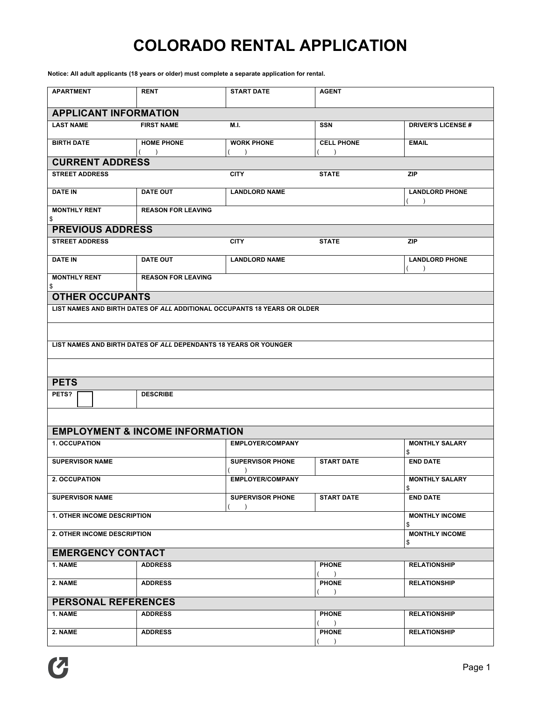## **COLORADO RENTAL APPLICATION**

**Notice: All adult applicants (18 years or older) must complete a separate application for rental.**

| <b>APARTMENT</b>                                                 | <b>RENT</b>                                | <b>START DATE</b>                                                        | <b>AGENT</b>                  |                             |  |  |
|------------------------------------------------------------------|--------------------------------------------|--------------------------------------------------------------------------|-------------------------------|-----------------------------|--|--|
| <b>APPLICANT INFORMATION</b>                                     |                                            |                                                                          |                               |                             |  |  |
| <b>LAST NAME</b>                                                 | <b>FIRST NAME</b>                          | M.I.                                                                     | <b>SSN</b>                    | <b>DRIVER'S LICENSE#</b>    |  |  |
| <b>BIRTH DATE</b>                                                | <b>HOME PHONE</b>                          | <b>WORK PHONE</b>                                                        | <b>CELL PHONE</b>             | <b>EMAIL</b>                |  |  |
| $\rightarrow$<br>$\lambda$<br><b>CURRENT ADDRESS</b>             |                                            |                                                                          |                               |                             |  |  |
| <b>STREET ADDRESS</b>                                            |                                            | <b>CITY</b>                                                              | <b>STATE</b>                  | <b>ZIP</b>                  |  |  |
| <b>DATE IN</b>                                                   | <b>DATE OUT</b>                            | <b>LANDLORD NAME</b>                                                     |                               | <b>LANDLORD PHONE</b>       |  |  |
| <b>MONTHLY RENT</b><br>\$                                        | <b>REASON FOR LEAVING</b>                  |                                                                          |                               |                             |  |  |
| <b>PREVIOUS ADDRESS</b>                                          |                                            |                                                                          |                               |                             |  |  |
| <b>STREET ADDRESS</b>                                            |                                            | <b>CITY</b>                                                              | <b>STATE</b>                  | <b>ZIP</b>                  |  |  |
| <b>DATE IN</b>                                                   | <b>DATE OUT</b>                            | <b>LANDLORD NAME</b>                                                     |                               | <b>LANDLORD PHONE</b>       |  |  |
| <b>MONTHLY RENT</b><br>\$                                        | <b>REASON FOR LEAVING</b>                  |                                                                          |                               |                             |  |  |
| <b>OTHER OCCUPANTS</b>                                           |                                            |                                                                          |                               |                             |  |  |
|                                                                  |                                            | LIST NAMES AND BIRTH DATES OF ALL ADDITIONAL OCCUPANTS 18 YEARS OR OLDER |                               |                             |  |  |
|                                                                  |                                            |                                                                          |                               |                             |  |  |
| LIST NAMES AND BIRTH DATES OF ALL DEPENDANTS 18 YEARS OR YOUNGER |                                            |                                                                          |                               |                             |  |  |
|                                                                  |                                            |                                                                          |                               |                             |  |  |
|                                                                  |                                            |                                                                          |                               |                             |  |  |
| <b>PETS</b><br>PETS?                                             | <b>DESCRIBE</b>                            |                                                                          |                               |                             |  |  |
|                                                                  |                                            |                                                                          |                               |                             |  |  |
|                                                                  |                                            |                                                                          |                               |                             |  |  |
|                                                                  | <b>EMPLOYMENT &amp; INCOME INFORMATION</b> |                                                                          |                               |                             |  |  |
| <b>1. OCCUPATION</b>                                             |                                            | <b>EMPLOYER/COMPANY</b>                                                  |                               | <b>MONTHLY SALARY</b><br>\$ |  |  |
| <b>SUPERVISOR NAME</b>                                           |                                            | <b>SUPERVISOR PHONE</b>                                                  | <b>START DATE</b>             | <b>END DATE</b>             |  |  |
| 2. OCCUPATION                                                    |                                            | <b>EMPLOYER/COMPANY</b>                                                  |                               | <b>MONTHLY SALARY</b><br>\$ |  |  |
| <b>SUPERVISOR NAME</b>                                           |                                            | <b>SUPERVISOR PHONE</b><br>$\rightarrow$                                 | <b>START DATE</b>             | <b>END DATE</b>             |  |  |
| <b>1. OTHER INCOME DESCRIPTION</b>                               |                                            | <b>MONTHLY INCOME</b><br>\$                                              |                               |                             |  |  |
| 2. OTHER INCOME DESCRIPTION                                      |                                            | <b>MONTHLY INCOME</b><br>\$                                              |                               |                             |  |  |
| <b>EMERGENCY CONTACT</b>                                         |                                            |                                                                          |                               |                             |  |  |
| 1. NAME                                                          | <b>ADDRESS</b>                             |                                                                          | <b>PHONE</b><br>$\rightarrow$ | <b>RELATIONSHIP</b>         |  |  |
| 2. NAME                                                          | <b>ADDRESS</b>                             |                                                                          | <b>PHONE</b><br>$\rightarrow$ | <b>RELATIONSHIP</b>         |  |  |
| <b>PERSONAL REFERENCES</b>                                       |                                            |                                                                          |                               |                             |  |  |
| 1. NAME                                                          | <b>ADDRESS</b>                             |                                                                          | <b>PHONE</b><br>$\rightarrow$ | <b>RELATIONSHIP</b>         |  |  |
| 2. NAME                                                          | <b>ADDRESS</b>                             |                                                                          | <b>PHONE</b><br>$\lambda$     | <b>RELATIONSHIP</b>         |  |  |